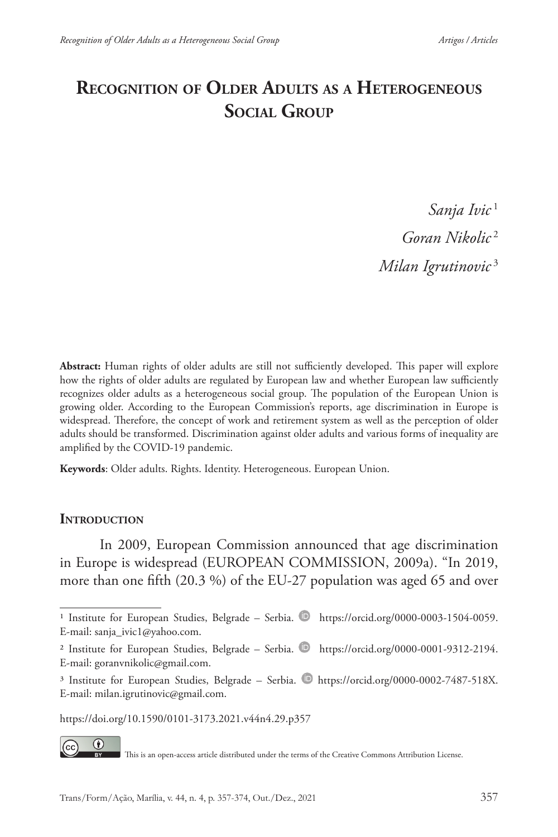# **Recognition of Older Adults as a Heterogeneous Social Group**

*Sanja Ivic* <sup>1</sup> *Goran Nikolic* <sup>2</sup> *Milan Igrutinovic* <sup>3</sup>

**Abstract:** Human rights of older adults are still not sufficiently developed. This paper will explore how the rights of older adults are regulated by European law and whether European law sufficiently recognizes older adults as a heterogeneous social group. The population of the European Union is growing older. According to the European Commission's reports, age discrimination in Europe is widespread. Therefore, the concept of work and retirement system as well as the perception of older adults should be transformed. Discrimination against older adults and various forms of inequality are amplified by the COVID-19 pandemic.

**Keywords**: Older adults. Rights. Identity. Heterogeneous. European Union.

#### **INTRODUCTION**

In 2009, European Commission announced that age discrimination in Europe is widespread (EUROPEAN COMMISSION, 2009a). "In 2019, more than one fifth (20.3 %) of the EU-27 population was aged 65 and over

https://doi.org/10.1590/0101-3173.2021.v44n4.29.p357

 $\circ$ 

This is an open-access article distributed under the terms of the Creative Commons Attribution License.

<sup>&</sup>lt;sup>1</sup> Institute for European Studies, Belgrade – Serbia. https://orcid.org/0000-0003-1504-0059. E-mail: sanja\_ivic1@yahoo.com.

<sup>&</sup>lt;sup>2</sup> Institute for European Studies, Belgrade – Serbia.  $\bullet$  https://orcid.org/0000-0001-9312-2194. E-mail: goranvnikolic@gmail.com.

<sup>&</sup>lt;sup>3</sup> Institute for European Studies, Belgrade – Serbia. https://orcid.org/0000-0002-7487-518X. E-mail: milan.igrutinovic@gmail.com.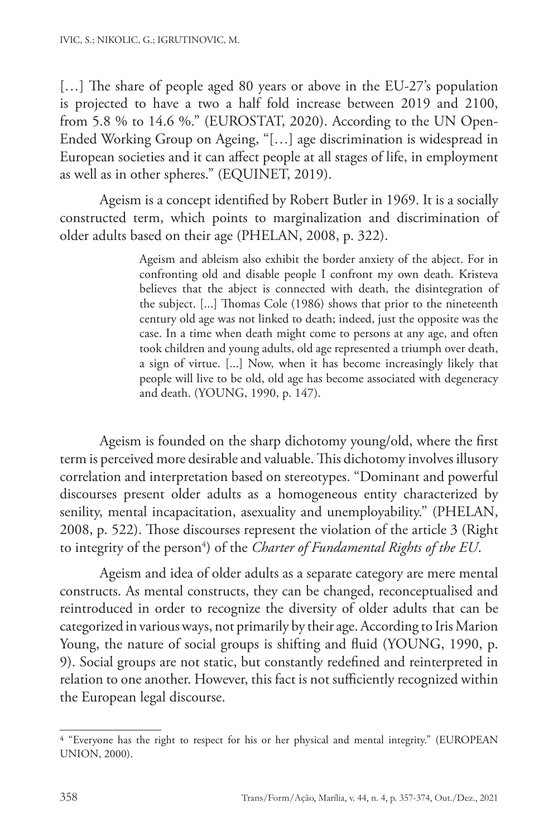[...] The share of people aged 80 years or above in the EU-27's population is projected to have a two a half fold increase between 2019 and 2100, from 5.8 % to 14.6 %." (EUROSTAT, 2020). According to the UN Open-Ended Working Group on Ageing, "[…] age discrimination is widespread in European societies and it can affect people at all stages of life, in employment as well as in other spheres." (EQUINET, 2019).

Ageism is a concept identified by Robert Butler in 1969. It is a socially constructed term, which points to marginalization and discrimination of older adults based on their age (PHELAN, 2008, p. 322).

> Ageism and ableism also exhibit the border anxiety of the abject. For in confronting old and disable people I confront my own death. Kristeva believes that the abject is connected with death, the disintegration of the subject. [...] Thomas Cole (1986) shows that prior to the nineteenth century old age was not linked to death; indeed, just the opposite was the case. In a time when death might come to persons at any age, and often took children and young adults, old age represented a triumph over death, a sign of virtue. [...] Now, when it has become increasingly likely that people will live to be old, old age has become associated with degeneracy and death. (YOUNG, 1990, p. 147).

Ageism is founded on the sharp dichotomy young/old, where the first term is perceived more desirable and valuable. This dichotomy involves illusory correlation and interpretation based on stereotypes. "Dominant and powerful discourses present older adults as a homogeneous entity characterized by senility, mental incapacitation, asexuality and unemployability." (PHELAN, 2008, p. 522). Those discourses represent the violation of the article 3 (Right to integrity of the person<sup>4</sup>) of the *Charter of Fundamental Rights of the EU*.

Ageism and idea of older adults as a separate category are mere mental constructs. As mental constructs, they can be changed, reconceptualised and reintroduced in order to recognize the diversity of older adults that can be categorized in various ways, not primarily by their age. According to Iris Marion Young, the nature of social groups is shifting and fluid (YOUNG, 1990, p. 9). Social groups are not static, but constantly redefined and reinterpreted in relation to one another. However, this fact is not sufficiently recognized within the European legal discourse.

<sup>4 &</sup>quot;Everyone has the right to respect for his or her physical and mental integrity." (EUROPEAN UNION, 2000).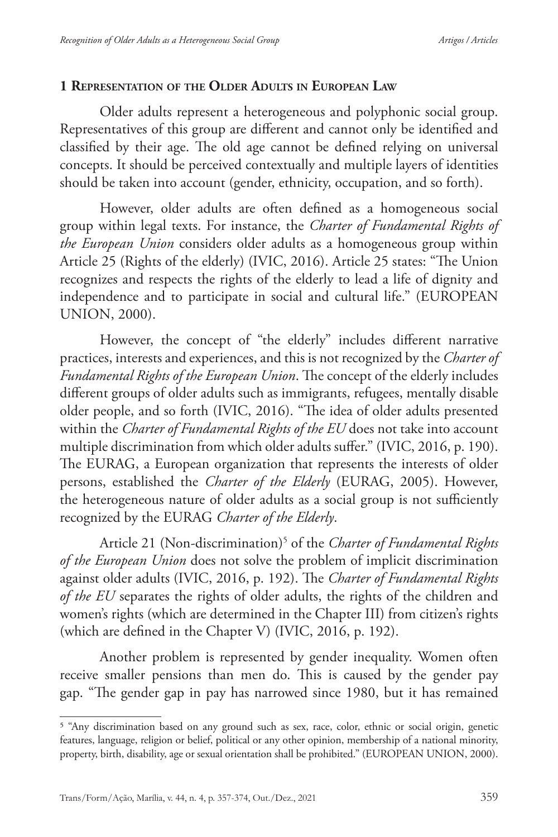### **1 Representation of the Older Adults in European Law**

Older adults represent a heterogeneous and polyphonic social group. Representatives of this group are different and cannot only be identified and classified by their age. The old age cannot be defined relying on universal concepts. It should be perceived contextually and multiple layers of identities should be taken into account (gender, ethnicity, occupation, and so forth).

However, older adults are often defined as a homogeneous social group within legal texts. For instance, the *Charter of Fundamental Rights of the European Union* considers older adults as a homogeneous group within Article 25 (Rights of the elderly) (IVIC, 2016). Article 25 states: "The Union recognizes and respects the rights of the elderly to lead a life of dignity and independence and to participate in social and cultural life." (EUROPEAN UNION, 2000).

However, the concept of "the elderly" includes different narrative practices, interests and experiences, and this is not recognized by the *Charter of Fundamental Rights of the European Union*. The concept of the elderly includes different groups of older adults such as immigrants, refugees, mentally disable older people, and so forth (IVIC, 2016). "The idea of older adults presented within the *Charter of Fundamental Rights of the EU* does not take into account multiple discrimination from which older adults suffer." (IVIC, 2016, p. 190). The EURAG, a European organization that represents the interests of older persons, established the *Charter of the Elderly* (EURAG, 2005). However, the heterogeneous nature of older adults as a social group is not sufficiently recognized by the EURAG *Charter of the Elderly*.

Article 21 (Non-discrimination)5 of the *Charter of Fundamental Rights of the European Union* does not solve the problem of implicit discrimination against older adults (IVIC, 2016, p. 192). The *Charter of Fundamental Rights of the EU* separates the rights of older adults, the rights of the children and women's rights (which are determined in the Chapter III) from citizen's rights (which are defined in the Chapter V) (IVIC, 2016, p. 192).

Another problem is represented by gender inequality. Women often receive smaller pensions than men do. This is caused by the gender pay gap. "The gender gap in pay has narrowed since 1980, but it has remained

<sup>5 &</sup>quot;Any discrimination based on any ground such as sex, race, color, ethnic or social origin, genetic features, language, religion or belief, political or any other opinion, membership of a national minority, property, birth, disability, age or sexual orientation shall be prohibited." (EUROPEAN UNION, 2000).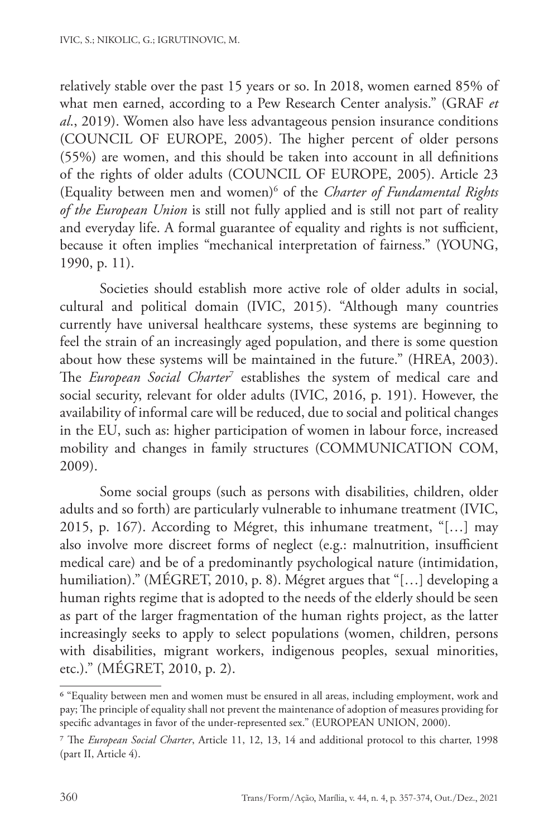relatively stable over the past 15 years or so. In 2018, women earned 85% of what men earned, according to a Pew Research Center analysis." (GRAF *et al*., 2019). Women also have less advantageous pension insurance conditions (COUNCIL OF EUROPE, 2005). The higher percent of older persons (55%) are women, and this should be taken into account in all definitions of the rights of older adults (COUNCIL OF EUROPE, 2005). Article 23 (Equality between men and women)6 of the *Charter of Fundamental Rights of the European Union* is still not fully applied and is still not part of reality and everyday life. A formal guarantee of equality and rights is not sufficient, because it often implies "mechanical interpretation of fairness." (YOUNG, 1990, p. 11).

Societies should establish more active role of older adults in social, cultural and political domain (IVIC, 2015). "Although many countries currently have universal healthcare systems, these systems are beginning to feel the strain of an increasingly aged population, and there is some question about how these systems will be maintained in the future." (HREA, 2003). The *European Social Charter*<sup>7</sup> establishes the system of medical care and social security, relevant for older adults (IVIC, 2016, p. 191). However, the availability of informal care will be reduced, due to social and political changes in the EU, such as: higher participation of women in labour force, increased mobility and changes in family structures (COMMUNICATION COM, 2009).

Some social groups (such as persons with disabilities, children, older adults and so forth) are particularly vulnerable to inhumane treatment (IVIC, 2015, p. 167). According to Mégret, this inhumane treatment, "[…] may also involve more discreet forms of neglect (e.g.: malnutrition, insufficient medical care) and be of a predominantly psychological nature (intimidation, humiliation)." (MÉGRET, 2010, p. 8). Mégret argues that "[…] developing a human rights regime that is adopted to the needs of the elderly should be seen as part of the larger fragmentation of the human rights project, as the latter increasingly seeks to apply to select populations (women, children, persons with disabilities, migrant workers, indigenous peoples, sexual minorities, etc.)." (MÉGRET, 2010, p. 2).

<sup>6 &</sup>quot;Equality between men and women must be ensured in all areas, including employment, work and pay; The principle of equality shall not prevent the maintenance of adoption of measures providing for specific advantages in favor of the under-represented sex." (EUROPEAN UNION, 2000).

<sup>7</sup> The *European Social Charter*, Article 11, 12, 13, 14 and additional protocol to this charter, 1998 (part II, Article 4).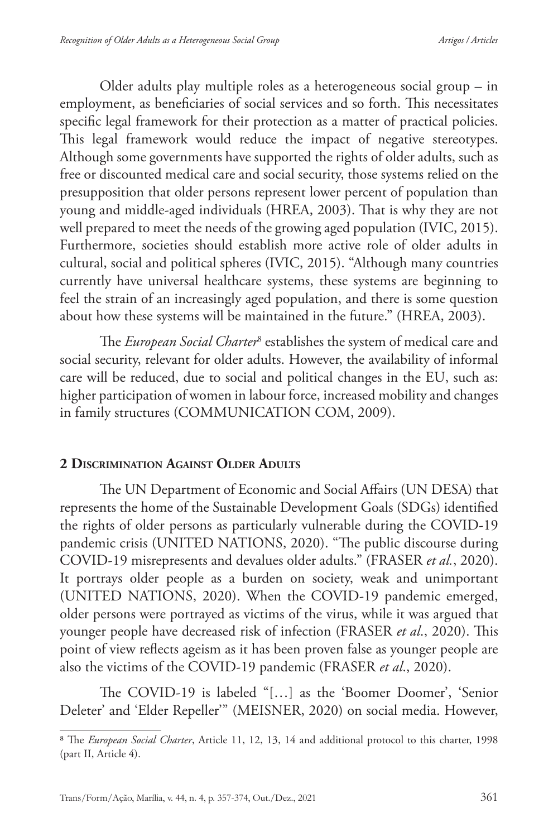Older adults play multiple roles as a heterogeneous social group – in employment, as beneficiaries of social services and so forth. This necessitates specific legal framework for their protection as a matter of practical policies. This legal framework would reduce the impact of negative stereotypes. Although some governments have supported the rights of older adults, such as free or discounted medical care and social security, those systems relied on the presupposition that older persons represent lower percent of population than young and middle-aged individuals (HREA, 2003). That is why they are not well prepared to meet the needs of the growing aged population (IVIC, 2015). Furthermore, societies should establish more active role of older adults in cultural, social and political spheres (IVIC, 2015). "Although many countries currently have universal healthcare systems, these systems are beginning to feel the strain of an increasingly aged population, and there is some question about how these systems will be maintained in the future." (HREA, 2003).

The *European Social Charter*<sup>8</sup> establishes the system of medical care and social security, relevant for older adults. However, the availability of informal care will be reduced, due to social and political changes in the EU, such as: higher participation of women in labour force, increased mobility and changes in family structures (COMMUNICATION COM, 2009).

## **2 Discrimination Against Older Adults**

The UN Department of Economic and Social Affairs (UN DESA) that represents the home of the Sustainable Development Goals (SDGs) identified the rights of older persons as particularly vulnerable during the COVID-19 pandemic crisis (UNITED NATIONS, 2020). "The public discourse during COVID-19 misrepresents and devalues older adults." (FRASER *et al.*, 2020). It portrays older people as a burden on society, weak and unimportant (UNITED NATIONS, 2020). When the COVID-19 pandemic emerged, older persons were portrayed as victims of the virus, while it was argued that younger people have decreased risk of infection (FRASER *et al*., 2020). This point of view reflects ageism as it has been proven false as younger people are also the victims of the COVID-19 pandemic (FRASER *et al*., 2020).

The COVID-19 is labeled "[…] as the 'Boomer Doomer', 'Senior Deleter' and 'Elder Repeller'" (MEISNER, 2020) on social media. However,

<sup>8</sup> The *European Social Charter*, Article 11, 12, 13, 14 and additional protocol to this charter, 1998 (part II, Article 4).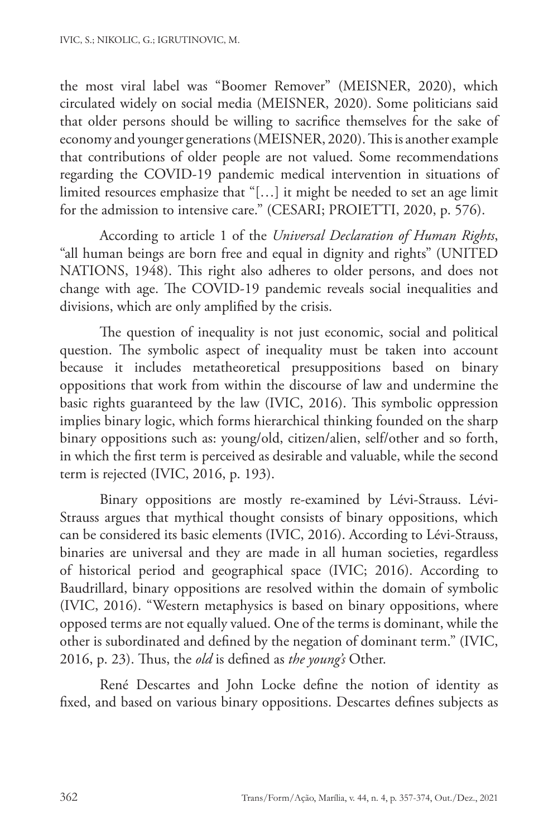the most viral label was "Boomer Remover" (MEISNER, 2020), which circulated widely on social media (MEISNER, 2020). Some politicians said that older persons should be willing to sacrifice themselves for the sake of economy and younger generations (MEISNER, 2020). This is another example that contributions of older people are not valued. Some recommendations regarding the COVID-19 pandemic medical intervention in situations of limited resources emphasize that "[…] it might be needed to set an age limit for the admission to intensive care." (CESARI; PROIETTI, 2020, p. 576).

According to article 1 of the *Universal Declaration of Human Rights*, "all human beings are born free and equal in dignity and rights" (UNITED NATIONS, 1948). This right also adheres to older persons, and does not change with age. The COVID-19 pandemic reveals social inequalities and divisions, which are only amplified by the crisis.

The question of inequality is not just economic, social and political question. The symbolic aspect of inequality must be taken into account because it includes metatheoretical presuppositions based on binary oppositions that work from within the discourse of law and undermine the basic rights guaranteed by the law (IVIC, 2016). This symbolic oppression implies binary logic, which forms hierarchical thinking founded on the sharp binary oppositions such as: young/old, citizen/alien, self/other and so forth, in which the first term is perceived as desirable and valuable, while the second term is rejected (IVIC, 2016, p. 193).

Binary oppositions are mostly re-examined by Lévi-Strauss. Lévi-Strauss argues that mythical thought consists of binary oppositions, which can be considered its basic elements (IVIC, 2016). According to Lévi-Strauss, binaries are universal and they are made in all human societies, regardless of historical period and geographical space (IVIC; 2016). According to Baudrillard, binary oppositions are resolved within the domain of symbolic (IVIC, 2016). "Western metaphysics is based on binary oppositions, where opposed terms are not equally valued. One of the terms is dominant, while the other is subordinated and defined by the negation of dominant term." (IVIC, 2016, p. 23). Thus, the *old* is defined as *the young's* Other.

René Descartes and John Locke define the notion of identity as fixed, and based on various binary oppositions. Descartes defines subjects as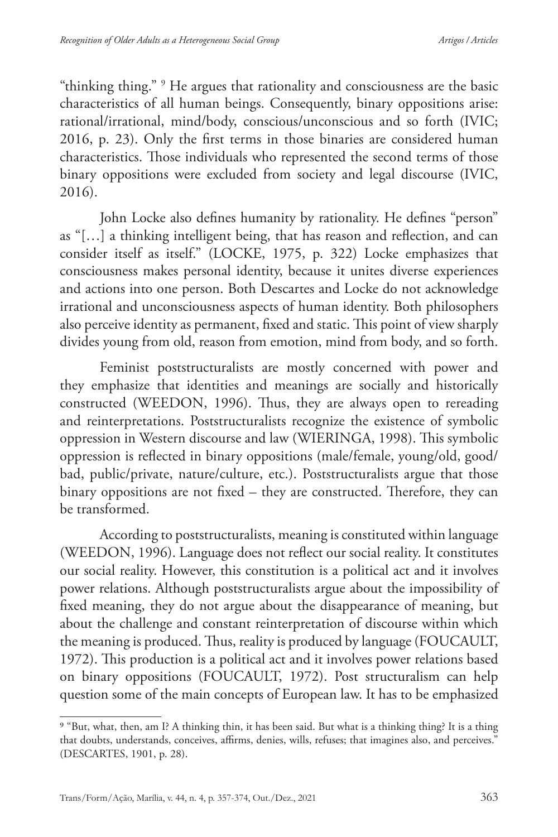"thinking thing." 9 He argues that rationality and consciousness are the basic characteristics of all human beings. Consequently, binary oppositions arise: rational/irrational, mind/body, conscious/unconscious and so forth (IVIC; 2016, p. 23). Only the first terms in those binaries are considered human characteristics. Those individuals who represented the second terms of those binary oppositions were excluded from society and legal discourse (IVIC, 2016).

John Locke also defines humanity by rationality. He defines "person" as "[…] a thinking intelligent being, that has reason and reflection, and can consider itself as itself." (LOCKE, 1975, p. 322) Locke emphasizes that consciousness makes personal identity, because it unites diverse experiences and actions into one person. Both Descartes and Locke do not acknowledge irrational and unconsciousness aspects of human identity. Both philosophers also perceive identity as permanent, fixed and static. This point of view sharply divides young from old, reason from emotion, mind from body, and so forth.

Feminist poststructuralists are mostly concerned with power and they emphasize that identities and meanings are socially and historically constructed (WEEDON, 1996). Thus, they are always open to rereading and reinterpretations. Poststructuralists recognize the existence of symbolic oppression in Western discourse and law (WIERINGA, 1998). This symbolic oppression is reflected in binary oppositions (male/female, young/old, good/ bad, public/private, nature/culture, etc.). Poststructuralists argue that those binary oppositions are not fixed – they are constructed. Therefore, they can be transformed.

According to poststructuralists, meaning is constituted within language (WEEDON, 1996). Language does not reflect our social reality. It constitutes our social reality. However, this constitution is a political act and it involves power relations. Although poststructuralists argue about the impossibility of fixed meaning, they do not argue about the disappearance of meaning, but about the challenge and constant reinterpretation of discourse within which the meaning is produced. Thus, reality is produced by language (FOUCAULT, 1972). This production is a political act and it involves power relations based on binary oppositions (FOUCAULT, 1972). Post structuralism can help question some of the main concepts of European law. It has to be emphasized

<sup>9 &</sup>quot;But, what, then, am I? A thinking thin, it has been said. But what is a thinking thing? It is a thing that doubts, understands, conceives, affirms, denies, wills, refuses; that imagines also, and perceives." (DESCARTES, 1901, p. 28).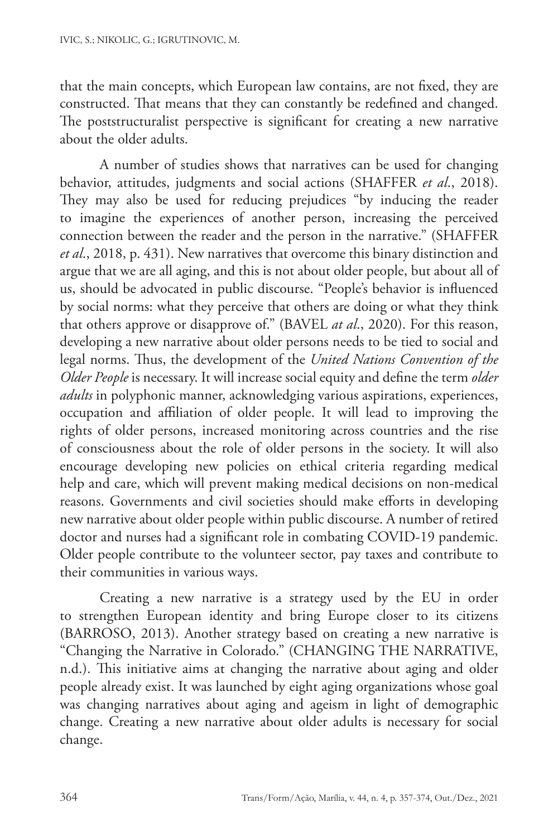that the main concepts, which European law contains, are not fixed, they are constructed. That means that they can constantly be redefined and changed. The poststructuralist perspective is significant for creating a new narrative about the older adults.

A number of studies shows that narratives can be used for changing behavior, attitudes, judgments and social actions (SHAFFER *et al*., 2018). They may also be used for reducing prejudices "by inducing the reader to imagine the experiences of another person, increasing the perceived connection between the reader and the person in the narrative." (SHAFFER *et al*., 2018, p. 431). New narratives that overcome this binary distinction and argue that we are all aging, and this is not about older people, but about all of us, should be advocated in public discourse. "People's behavior is influenced by social norms: what they perceive that others are doing or what they think that others approve or disapprove of." (BAVEL *at al*., 2020). For this reason, developing a new narrative about older persons needs to be tied to social and legal norms. Thus, the development of the *United Nations Convention of the Older People* is necessary. It will increase social equity and define the term *older adults* in polyphonic manner, acknowledging various aspirations, experiences, occupation and affiliation of older people. It will lead to improving the rights of older persons, increased monitoring across countries and the rise of consciousness about the role of older persons in the society. It will also encourage developing new policies on ethical criteria regarding medical help and care, which will prevent making medical decisions on non-medical reasons. Governments and civil societies should make efforts in developing new narrative about older people within public discourse. A number of retired doctor and nurses had a significant role in combating COVID-19 pandemic. Older people contribute to the volunteer sector, pay taxes and contribute to their communities in various ways.

Creating a new narrative is a strategy used by the EU in order to strengthen European identity and bring Europe closer to its citizens (BARROSO, 2013). Another strategy based on creating a new narrative is "Changing the Narrative in Colorado." (CHANGING THE NARRATIVE, n.d.). This initiative aims at changing the narrative about aging and older people already exist. It was launched by eight aging organizations whose goal was changing narratives about aging and ageism in light of demographic change. Creating a new narrative about older adults is necessary for social change.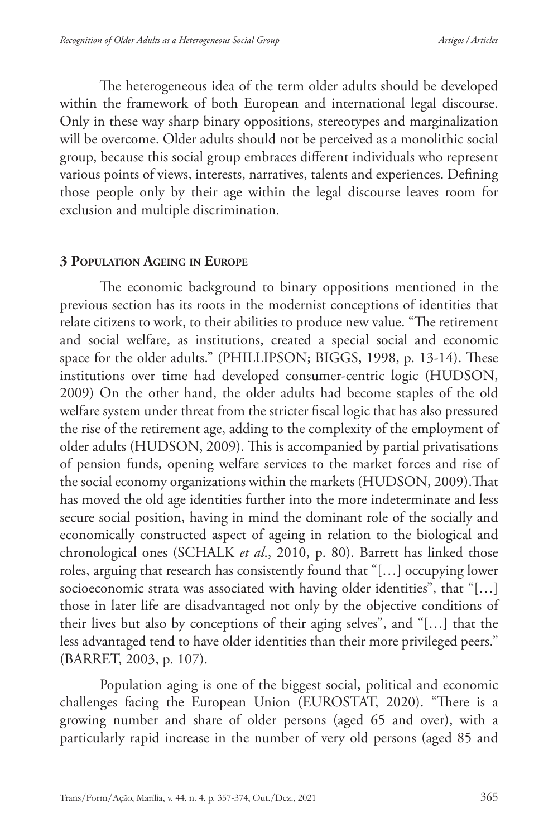The heterogeneous idea of the term older adults should be developed within the framework of both European and international legal discourse. Only in these way sharp binary oppositions, stereotypes and marginalization will be overcome. Older adults should not be perceived as a monolithic social group, because this social group embraces different individuals who represent various points of views, interests, narratives, talents and experiences. Defining those people only by their age within the legal discourse leaves room for exclusion and multiple discrimination.

#### **3 Population Ageing in Europe**

The economic background to binary oppositions mentioned in the previous section has its roots in the modernist conceptions of identities that relate citizens to work, to their abilities to produce new value. "The retirement and social welfare, as institutions, created a special social and economic space for the older adults." (PHILLIPSON; BIGGS, 1998, p. 13-14). These institutions over time had developed consumer-centric logic (HUDSON, 2009) On the other hand, the older adults had become staples of the old welfare system under threat from the stricter fiscal logic that has also pressured the rise of the retirement age, adding to the complexity of the employment of older adults (HUDSON, 2009). This is accompanied by partial privatisations of pension funds, opening welfare services to the market forces and rise of the social economy organizations within the markets (HUDSON, 2009).That has moved the old age identities further into the more indeterminate and less secure social position, having in mind the dominant role of the socially and economically constructed aspect of ageing in relation to the biological and chronological ones (SCHALK *et al*., 2010, p. 80). Barrett has linked those roles, arguing that research has consistently found that "[…] occupying lower socioeconomic strata was associated with having older identities", that "[…] those in later life are disadvantaged not only by the objective conditions of their lives but also by conceptions of their aging selves", and "[…] that the less advantaged tend to have older identities than their more privileged peers." (BARRET, 2003, p. 107).

Population aging is one of the biggest social, political and economic challenges facing the European Union (EUROSTAT, 2020). "There is a growing number and share of older persons (aged 65 and over), with a particularly rapid increase in the number of very old persons (aged 85 and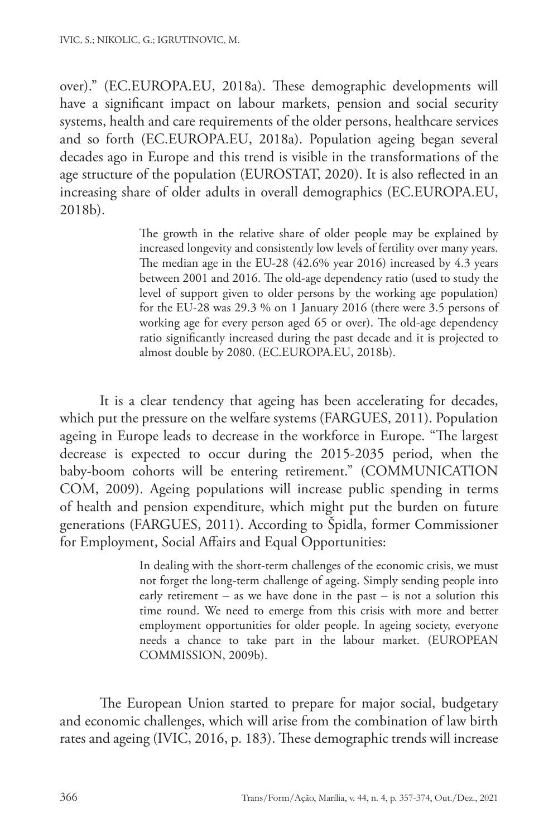over)." (EC.EUROPA.EU, 2018a). These demographic developments will have a significant impact on labour markets, pension and social security systems, health and care requirements of the older persons, healthcare services and so forth (EC.EUROPA.EU, 2018a). Population ageing began several decades ago in Europe and this trend is visible in the transformations of the age structure of the population (EUROSTAT, 2020). It is also reflected in an increasing share of older adults in overall demographics (EC.EUROPA.EU, 2018b).

> The growth in the relative share of older people may be explained by increased longevity and consistently low levels of fertility over many years. The median age in the EU-28 (42.6% year 2016) increased by 4.3 years between 2001 and 2016. The old-age dependency ratio (used to study the level of support given to older persons by the working age population) for the EU-28 was 29.3 % on 1 January 2016 (there were 3.5 persons of working age for every person aged 65 or over). The old-age dependency ratio significantly increased during the past decade and it is projected to almost double by 2080. (EC.EUROPA.EU, 2018b).

It is a clear tendency that ageing has been accelerating for decades, which put the pressure on the welfare systems (FARGUES, 2011). Population ageing in Europe leads to decrease in the workforce in Europe. "The largest decrease is expected to occur during the 2015-2035 period, when the baby-boom cohorts will be entering retirement." (COMMUNICATION COM, 2009). Ageing populations will increase public spending in terms of health and pension expenditure, which might put the burden on future generations (FARGUES, 2011). According to Špidla, former Commissioner for Employment, Social Affairs and Equal Opportunities:

> In dealing with the short-term challenges of the economic crisis, we must not forget the long-term challenge of ageing. Simply sending people into early retirement – as we have done in the past – is not a solution this time round. We need to emerge from this crisis with more and better employment opportunities for older people. In ageing society, everyone needs a chance to take part in the labour market. (EUROPEAN COMMISSION, 2009b).

The European Union started to prepare for major social, budgetary and economic challenges, which will arise from the combination of law birth rates and ageing (IVIC, 2016, p. 183). These demographic trends will increase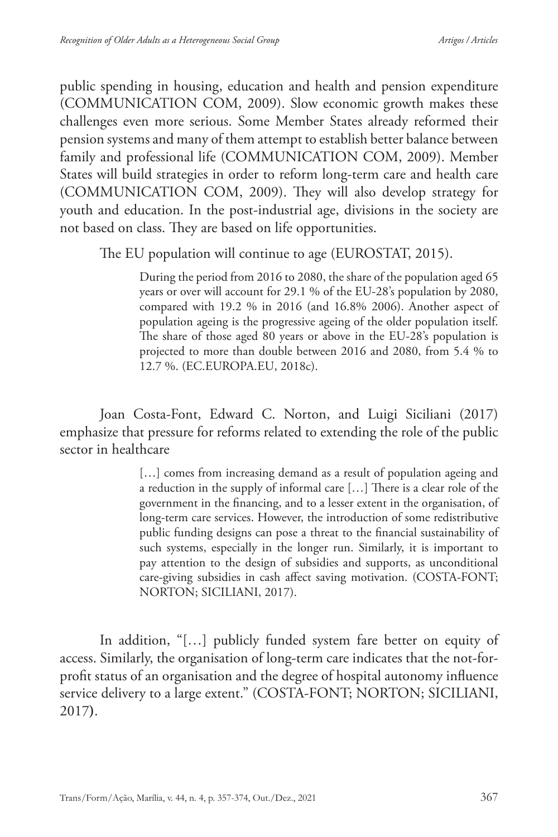public spending in housing, education and health and pension expenditure (COMMUNICATION COM, 2009). Slow economic growth makes these challenges even more serious. Some Member States already reformed their pension systems and many of them attempt to establish better balance between family and professional life (COMMUNICATION COM, 2009). Member States will build strategies in order to reform long-term care and health care (COMMUNICATION COM, 2009). They will also develop strategy for youth and education. In the post-industrial age, divisions in the society are not based on class. They are based on life opportunities.

The EU population will continue to age (EUROSTAT, 2015).

During the period from 2016 to 2080, the share of the population aged 65 years or over will account for 29.1 % of the EU-28's population by 2080, compared with 19.2 % in 2016 (and 16.8% 2006). Another aspect of population ageing is the progressive ageing of the older population itself. The share of those aged 80 years or above in the EU-28's population is projected to more than double between 2016 and 2080, from 5.4 % to 12.7 %. (EC.EUROPA.EU, 2018c).

Joan Costa-Font, Edward C. Norton, and Luigi Siciliani (2017) emphasize that pressure for reforms related to extending the role of the public sector in healthcare

> [...] comes from increasing demand as a result of population ageing and a reduction in the supply of informal care […] There is a clear role of the government in the financing, and to a lesser extent in the organisation, of long-term care services. However, the introduction of some redistributive public funding designs can pose a threat to the financial sustainability of such systems, especially in the longer run. Similarly, it is important to pay attention to the design of subsidies and supports, as unconditional care-giving subsidies in cash affect saving motivation. (COSTA-FONT; NORTON; SICILIANI, 2017).

In addition, "[…] publicly funded system fare better on equity of access. Similarly, the organisation of long-term care indicates that the not-forprofit status of an organisation and the degree of hospital autonomy influence service delivery to a large extent." (COSTA-FONT; NORTON; SICILIANI, 2017**)**.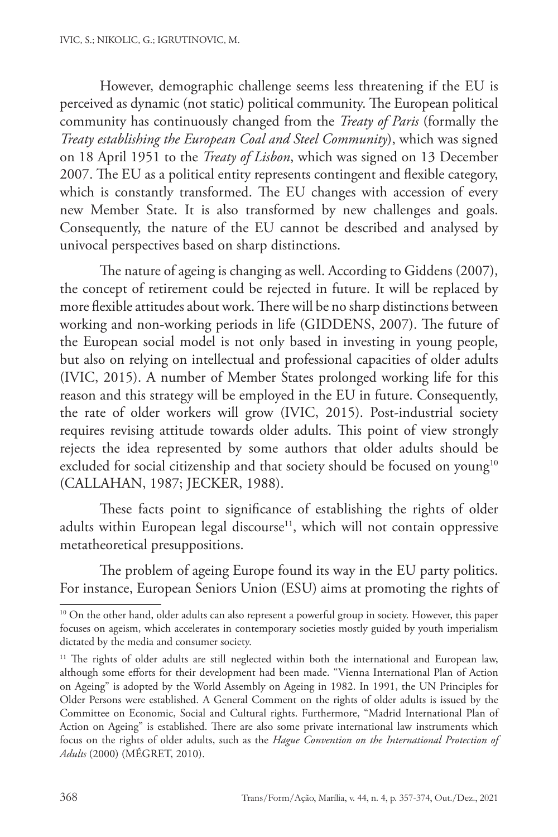However, demographic challenge seems less threatening if the EU is perceived as dynamic (not static) political community. The European political community has continuously changed from the *Treaty of Paris* (formally the *Treaty establishing the European Coal and Steel Community*), which was signed on 18 April 1951 to the *Treaty of Lisbon*, which was signed on 13 December 2007. The EU as a political entity represents contingent and flexible category, which is constantly transformed. The EU changes with accession of every new Member State. It is also transformed by new challenges and goals. Consequently, the nature of the EU cannot be described and analysed by univocal perspectives based on sharp distinctions.

The nature of ageing is changing as well. According to Giddens (2007), the concept of retirement could be rejected in future. It will be replaced by more flexible attitudes about work. There will be no sharp distinctions between working and non-working periods in life (GIDDENS, 2007). The future of the European social model is not only based in investing in young people, but also on relying on intellectual and professional capacities of older adults (IVIC, 2015). A number of Member States prolonged working life for this reason and this strategy will be employed in the EU in future. Consequently, the rate of older workers will grow (IVIC, 2015). Post-industrial society requires revising attitude towards older adults. This point of view strongly rejects the idea represented by some authors that older adults should be excluded for social citizenship and that society should be focused on young<sup>10</sup> (CALLAHAN, 1987; JECKER, 1988).

These facts point to significance of establishing the rights of older adults within European legal discourse<sup>11</sup>, which will not contain oppressive metatheoretical presuppositions.

The problem of ageing Europe found its way in the EU party politics. For instance, European Seniors Union (ESU) aims at promoting the rights of

<sup>&</sup>lt;sup>10</sup> On the other hand, older adults can also represent a powerful group in society. However, this paper focuses on ageism, which accelerates in contemporary societies mostly guided by youth imperialism dictated by the media and consumer society.

<sup>&</sup>lt;sup>11</sup> The rights of older adults are still neglected within both the international and European law, although some efforts for their development had been made. "Vienna International Plan of Action on Ageing" is adopted by the World Assembly on Ageing in 1982. In 1991, the UN Principles for Older Persons were established. A General Comment on the rights of older adults is issued by the Committee on Economic, Social and Cultural rights. Furthermore, "Madrid International Plan of Action on Ageing" is established. There are also some private international law instruments which focus on the rights of older adults, such as the *Hague Convention on the International Protection of Adults* (2000) (MÉGRET, 2010).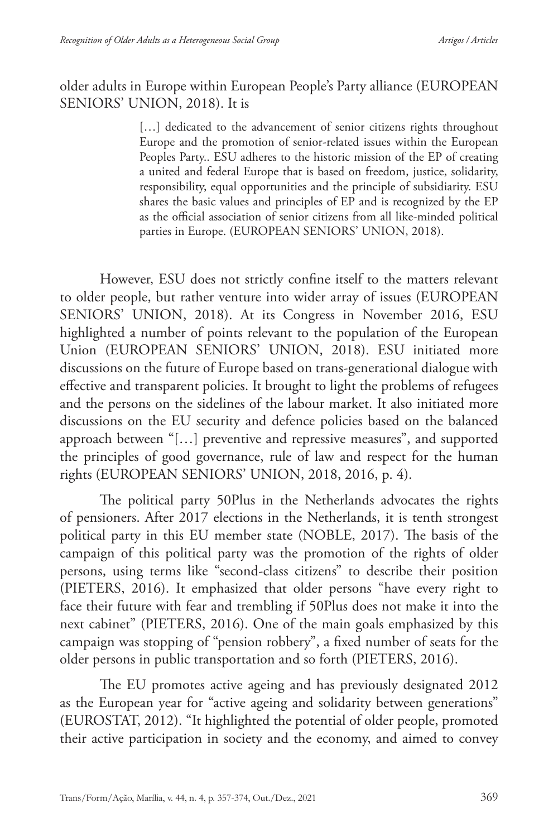## older adults in Europe within European People's Party alliance (EUROPEAN SENIORS' UNION, 2018). It is

[...] dedicated to the advancement of senior citizens rights throughout Europe and the promotion of senior-related issues within the European Peoples Party.. ESU adheres to the historic mission of the EP of creating a united and federal Europe that is based on freedom, justice, solidarity, responsibility, equal opportunities and the principle of subsidiarity. ESU shares the basic values and principles of EP and is recognized by the EP as the official association of senior citizens from all like-minded political parties in Europe. (EUROPEAN SENIORS' UNION, 2018).

However, ESU does not strictly confine itself to the matters relevant to older people, but rather venture into wider array of issues (EUROPEAN SENIORS' UNION, 2018). At its Congress in November 2016, ESU highlighted a number of points relevant to the population of the European Union (EUROPEAN SENIORS' UNION, 2018). ESU initiated more discussions on the future of Europe based on trans-generational dialogue with effective and transparent policies. It brought to light the problems of refugees and the persons on the sidelines of the labour market. It also initiated more discussions on the EU security and defence policies based on the balanced approach between "[…] preventive and repressive measures", and supported the principles of good governance, rule of law and respect for the human rights (EUROPEAN SENIORS' UNION, 2018, 2016, p. 4).

The political party 50Plus in the Netherlands advocates the rights of pensioners. After 2017 elections in the Netherlands, it is tenth strongest political party in this EU member state (NOBLE, 2017). The basis of the campaign of this political party was the promotion of the rights of older persons, using terms like "second-class citizens" to describe their position (PIETERS, 2016). It emphasized that older persons "have every right to face their future with fear and trembling if 50Plus does not make it into the next cabinet" (PIETERS, 2016). One of the main goals emphasized by this campaign was stopping of "pension robbery", a fixed number of seats for the older persons in public transportation and so forth (PIETERS, 2016).

The EU promotes active ageing and has previously designated 2012 as the European year for "active ageing and solidarity between generations" (EUROSTAT, 2012). "It highlighted the potential of older people, promoted their active participation in society and the economy, and aimed to convey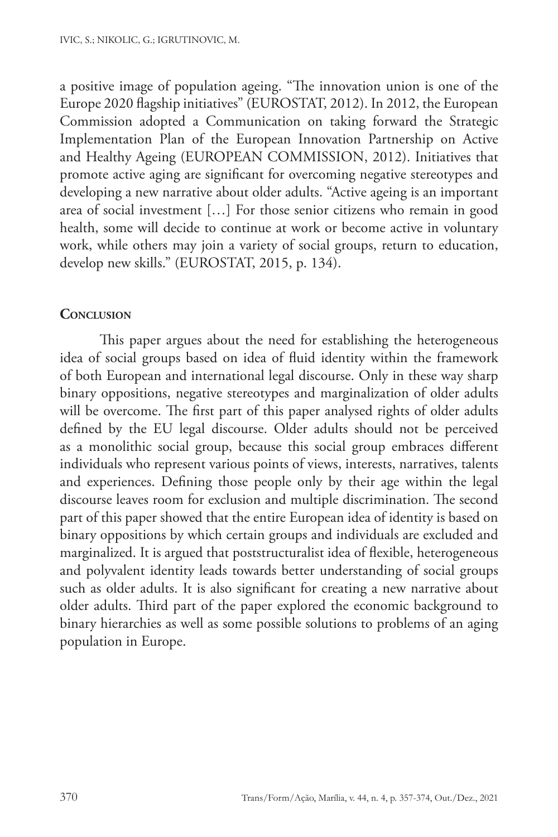a positive image of population ageing. "The innovation union is one of the Europe 2020 flagship initiatives" (EUROSTAT, 2012). In 2012, the European Commission adopted a Communication on taking forward the Strategic Implementation Plan of the European Innovation Partnership on Active and Healthy Ageing (EUROPEAN COMMISSION, 2012). Initiatives that promote active aging are significant for overcoming negative stereotypes and developing a new narrative about older adults. "Active ageing is an important area of social investment […] For those senior citizens who remain in good health, some will decide to continue at work or become active in voluntary work, while others may join a variety of social groups, return to education, develop new skills." (EUROSTAT, 2015, p. 134).

## **Conclusion**

This paper argues about the need for establishing the heterogeneous idea of social groups based on idea of fluid identity within the framework of both European and international legal discourse. Only in these way sharp binary oppositions, negative stereotypes and marginalization of older adults will be overcome. The first part of this paper analysed rights of older adults defined by the EU legal discourse. Older adults should not be perceived as a monolithic social group, because this social group embraces different individuals who represent various points of views, interests, narratives, talents and experiences. Defining those people only by their age within the legal discourse leaves room for exclusion and multiple discrimination. The second part of this paper showed that the entire European idea of identity is based on binary oppositions by which certain groups and individuals are excluded and marginalized. It is argued that poststructuralist idea of flexible, heterogeneous and polyvalent identity leads towards better understanding of social groups such as older adults. It is also significant for creating a new narrative about older adults. Third part of the paper explored the economic background to binary hierarchies as well as some possible solutions to problems of an aging population in Europe.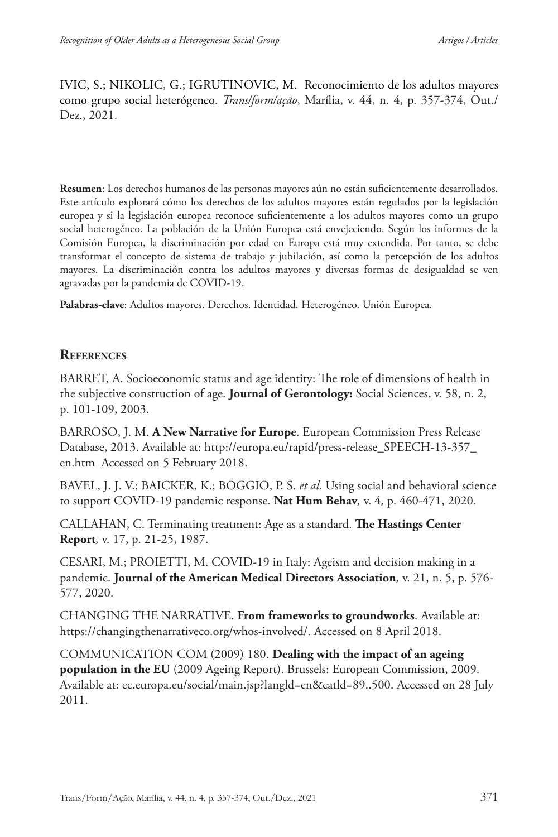IVIC, S.; NIKOLIC, G.; IGRUTINOVIC, M. Reconocimiento de los adultos mayores como grupo social heterógeneo. *Trans/form/ação*, Marília, v. 44, n. 4, p. 357-374, Out./ Dez., 2021.

**Resumen**: Los derechos humanos de las personas mayores aún no están suficientemente desarrollados. Este artículo explorará cómo los derechos de los adultos mayores están regulados por la legislación europea y si la legislación europea reconoce suficientemente a los adultos mayores como un grupo social heterogéneo. La población de la Unión Europea está envejeciendo. Según los informes de la Comisión Europea, la discriminación por edad en Europa está muy extendida. Por tanto, se debe transformar el concepto de sistema de trabajo y jubilación, así como la percepción de los adultos mayores. La discriminación contra los adultos mayores y diversas formas de desigualdad se ven agravadas por la pandemia de COVID-19.

**Palabras-clave**: Adultos mayores. Derechos. Identidad. Heterogéneo. Unión Europea.

#### **References**

BARRET, A. Socioeconomic status and age identity: The role of dimensions of health in the subjective construction of age. **Journal of Gerontology:** Social Sciences, v. 58, n. 2, p. 101-109, 2003.

BARROSO, J. M. **A New Narrative for Europe**. European Commission Press Release Database, 2013. Available at: http://europa.eu/rapid/press-release\_SPEECH-13-357\_ en.htm Accessed on 5 February 2018.

BAVEL, J. J. V.; BAICKER, K.; BOGGIO, P. S. *et al.* Using social and behavioral science to support COVID-19 pandemic response. **Nat Hum Behav***,* v. 4*,* p. 460-471, 2020.

CALLAHAN, C. Terminating treatment: Age as a standard. **The Hastings Center Report***,* v. 17, p. 21-25, 1987.

CESARI, M.; PROIETTI, M. COVID-19 in Italy: Ageism and decision making in a pandemic. **Journal of the American Medical Directors Association***,* v. 21, n. 5, p. 576- 577, 2020.

CHANGING THE NARRATIVE. **From frameworks to groundworks**. Available at: https://changingthenarrativeco.org/whos-involved/. Accessed on 8 April 2018.

COMMUNICATION COM (2009) 180. **Dealing with the impact of an ageing population in the EU** (2009 Ageing Report). Brussels: European Commission, 2009. Available at: ec.europa.eu/social/main.jsp?langld=en&catld=89..500. Accessed on 28 July 2011.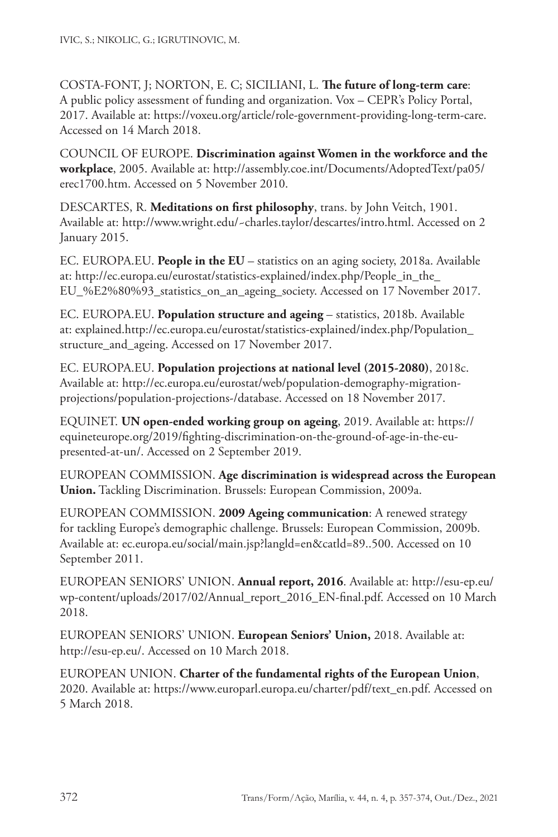COSTA-FONT, J; NORTON, E. C; SICILIANI, L. **The future of long-term care**: A public policy assessment of funding and organization. Vox – CEPR's Policy Portal, 2017. Available at: https://voxeu.org/article/role-government-providing-long-term-care. Accessed on 14 March 2018.

COUNCIL OF EUROPE. **Discrimination against Women in the workforce and the workplace**, 2005. Available at: http://assembly.coe.int/Documents/AdoptedText/pa05/ erec1700.htm. Accessed on 5 November 2010.

DESCARTES, R. **Meditations on first philosophy**, trans. by John Veitch, 1901. Available at: http://www.wright.edu/~charles.taylor/descartes/intro.html. Accessed on 2 January 2015.

EC. EUROPA.EU. **People in the EU** – statistics on an aging society, 2018a. Available at: http://ec.europa.eu/eurostat/statistics-explained/index.php/People\_in\_the\_ EU\_%E2%80%93\_statistics\_on\_an\_ageing\_society. Accessed on 17 November 2017.

EC. EUROPA.EU. **Population structure and ageing** – statistics, 2018b. Available at: explained.http://ec.europa.eu/eurostat/statistics-explained/index.php/Population\_ structure\_and\_ageing. Accessed on 17 November 2017.

EC. EUROPA.EU. **Population projections at national level (2015-2080)**, 2018c. Available at: http://ec.europa.eu/eurostat/web/population-demography-migrationprojections/population-projections-/database. Accessed on 18 November 2017.

EQUINET. **UN open-ended working group on ageing**, 2019. Available at: https:// equineteurope.org/2019/fighting-discrimination-on-the-ground-of-age-in-the-eupresented-at-un/. Accessed on 2 September 2019.

EUROPEAN COMMISSION. **Age discrimination is widespread across the European Union.** Tackling Discrimination. Brussels: European Commission, 2009a.

EUROPEAN COMMISSION. **2009 Ageing communication**: A renewed strategy for tackling Europe's demographic challenge. Brussels: European Commission, 2009b. Available at: ec.europa.eu/social/main.jsp?langld=en&catld=89..500. Accessed on 10 September 2011.

EUROPEAN SENIORS' UNION. **Annual report, 2016**. Available at: http://esu-ep.eu/ wp-content/uploads/2017/02/Annual\_report\_2016\_EN-final.pdf. Accessed on 10 March 2018.

EUROPEAN SENIORS' UNION. **European Seniors' Union,** 2018. Available at: http://esu-ep.eu/. Accessed on 10 March 2018.

EUROPEAN UNION. **Charter of the fundamental rights of the European Union**, 2020. Available at: https://www.europarl.europa.eu/charter/pdf/text\_en.pdf. Accessed on 5 March 2018.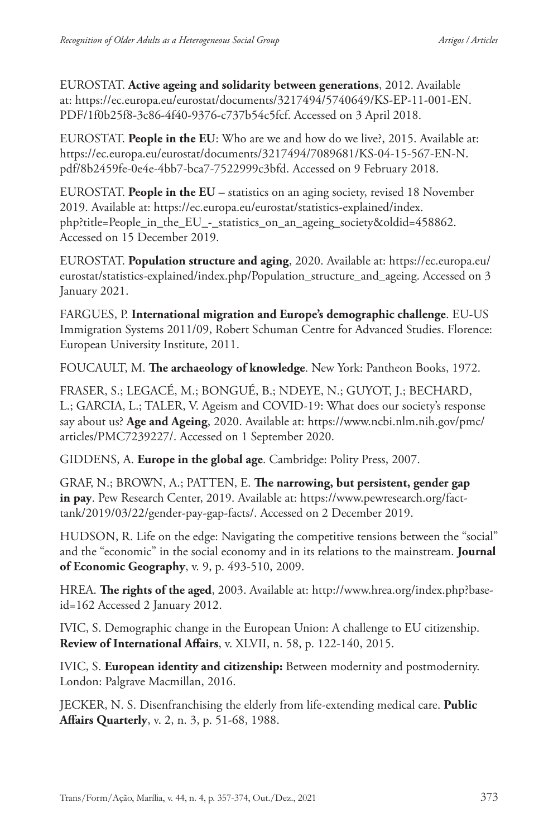EUROSTAT. **Active ageing and solidarity between generations**, 2012. Available at: https://ec.europa.eu/eurostat/documents/3217494/5740649/KS-EP-11-001-EN. PDF/1f0b25f8-3c86-4f40-9376-c737b54c5fcf. Accessed on 3 April 2018.

EUROSTAT. **People in the EU**: Who are we and how do we live?, 2015. Available at: https://ec.europa.eu/eurostat/documents/3217494/7089681/KS-04-15-567-EN-N. pdf/8b2459fe-0e4e-4bb7-bca7-7522999c3bfd. Accessed on 9 February 2018.

EUROSTAT. **People in the EU** – statistics on an aging society, revised 18 November 2019. Available at: https://ec.europa.eu/eurostat/statistics-explained/index. php?title=People\_in\_the\_EU\_-\_statistics\_on\_an\_ageing\_society&oldid=458862. Accessed on 15 December 2019.

EUROSTAT. **Population structure and aging**, 2020. Available at: https://ec.europa.eu/ eurostat/statistics-explained/index.php/Population\_structure\_and\_ageing. Accessed on 3 January 2021.

FARGUES, P. **International migration and Europe's demographic challenge**. EU-US Immigration Systems 2011/09, Robert Schuman Centre for Advanced Studies. Florence: European University Institute, 2011.

FOUCAULT, M. **The archaeology of knowledge**. New York: Pantheon Books, 1972.

FRASER, S.; LEGACÉ, M.; BONGUÉ, B.; NDEYE, N.; GUYOT, J.; BECHARD, L.; GARCIA, L.; TALER, V. Ageism and COVID-19: What does our society's response say about us? **Age and Ageing**, 2020. Available at: https://www.ncbi.nlm.nih.gov/pmc/ articles/PMC7239227/. Accessed on 1 September 2020.

GIDDENS, A. **Europe in the global age**. Cambridge: Polity Press, 2007.

GRAF, N.; BROWN, A.; PATTEN, E. **The narrowing, but persistent, gender gap in pay**. Pew Research Center, 2019. Available at: https://www.pewresearch.org/facttank/2019/03/22/gender-pay-gap-facts/. Accessed on 2 December 2019.

HUDSON, R. Life on the edge: Navigating the competitive tensions between the "social" and the "economic" in the social economy and in its relations to the mainstream. **Journal of Economic Geography**, v. 9, p. 493-510, 2009.

HREA. **The rights of the aged**, 2003. Available at: http://www.hrea.org/index.php?baseid=162 Accessed 2 January 2012.

IVIC, S. Demographic change in the European Union: A challenge to EU citizenship. **Review of International Affairs**, v. XLVII, n. 58, p. 122-140, 2015.

IVIC, S. **European identity and citizenship:** Between modernity and postmodernity. London: Palgrave Macmillan, 2016.

JECKER, N. S. Disenfranchising the elderly from life-extending medical care. **Public Affairs Quarterly**, v. 2, n. 3, p. 51-68, 1988.